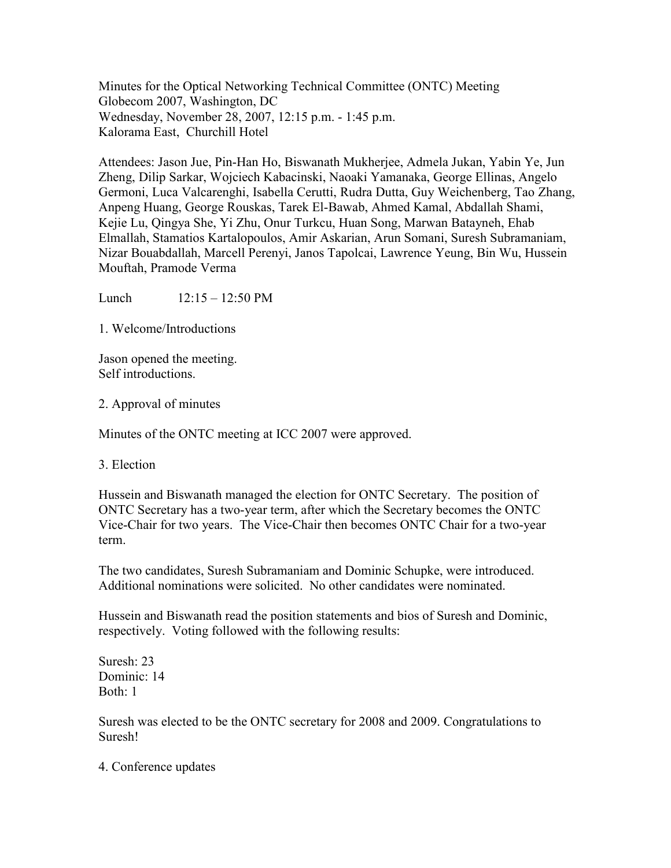Minutes for the Optical Networking Technical Committee (ONTC) Meeting Globecom 2007, Washington, DC Wednesday, November 28, 2007, 12:15 p.m. - 1:45 p.m. Kalorama East, Churchill Hotel

Attendees: Jason Jue, Pin-Han Ho, Biswanath Mukherjee, Admela Jukan, Yabin Ye, Jun Zheng, Dilip Sarkar, Wojciech Kabacinski, Naoaki Yamanaka, George Ellinas, Angelo Germoni, Luca Valcarenghi, Isabella Cerutti, Rudra Dutta, Guy Weichenberg, Tao Zhang, Anpeng Huang, George Rouskas, Tarek El-Bawab, Ahmed Kamal, Abdallah Shami, Kejie Lu, Qingya She, Yi Zhu, Onur Turkcu, Huan Song, Marwan Batayneh, Ehab Elmallah, Stamatios Kartalopoulos, Amir Askarian, Arun Somani, Suresh Subramaniam, Nizar Bouabdallah, Marcell Perenyi, Janos Tapolcai, Lawrence Yeung, Bin Wu, Hussein Mouftah, Pramode Verma

Lunch  $12:15 - 12:50 \text{ PM}$ 

1. Welcome/Introductions

Jason opened the meeting. Self introductions.

2. Approval of minutes

Minutes of the ONTC meeting at ICC 2007 were approved.

3. Election

Hussein and Biswanath managed the election for ONTC Secretary. The position of ONTC Secretary has a two-year term, after which the Secretary becomes the ONTC Vice-Chair for two years. The Vice-Chair then becomes ONTC Chair for a two-year term.

The two candidates, Suresh Subramaniam and Dominic Schupke, were introduced. Additional nominations were solicited. No other candidates were nominated.

Hussein and Biswanath read the position statements and bios of Suresh and Dominic, respectively. Voting followed with the following results:

Suresh: 23 Dominic: 14 Both: 1

Suresh was elected to be the ONTC secretary for 2008 and 2009. Congratulations to Suresh!

4. Conference updates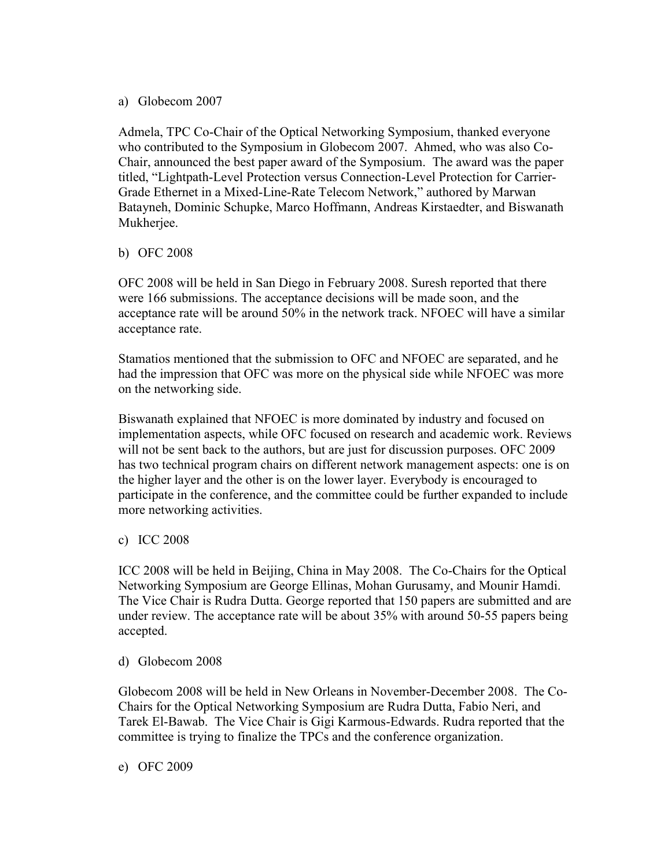## a) Globecom 2007

Admela, TPC Co-Chair of the Optical Networking Symposium, thanked everyone who contributed to the Symposium in Globecom 2007. Ahmed, who was also Co-Chair, announced the best paper award of the Symposium. The award was the paper titled, "Lightpath-Level Protection versus Connection-Level Protection for Carrier-Grade Ethernet in a Mixed-Line-Rate Telecom Network," authored by Marwan Batayneh, Dominic Schupke, Marco Hoffmann, Andreas Kirstaedter, and Biswanath Mukherjee.

## b) OFC 2008

OFC 2008 will be held in San Diego in February 2008. Suresh reported that there were 166 submissions. The acceptance decisions will be made soon, and the acceptance rate will be around 50% in the network track. NFOEC will have a similar acceptance rate.

Stamatios mentioned that the submission to OFC and NFOEC are separated, and he had the impression that OFC was more on the physical side while NFOEC was more on the networking side.

Biswanath explained that NFOEC is more dominated by industry and focused on implementation aspects, while OFC focused on research and academic work. Reviews will not be sent back to the authors, but are just for discussion purposes. OFC 2009 has two technical program chairs on different network management aspects: one is on the higher layer and the other is on the lower layer. Everybody is encouraged to participate in the conference, and the committee could be further expanded to include more networking activities.

## c) ICC 2008

ICC 2008 will be held in Beijing, China in May 2008. The Co-Chairs for the Optical Networking Symposium are George Ellinas, Mohan Gurusamy, and Mounir Hamdi. The Vice Chair is Rudra Dutta. George reported that 150 papers are submitted and are under review. The acceptance rate will be about 35% with around 50-55 papers being accepted.

## d) Globecom 2008

Globecom 2008 will be held in New Orleans in November-December 2008. The Co-Chairs for the Optical Networking Symposium are Rudra Dutta, Fabio Neri, and Tarek El-Bawab. The Vice Chair is Gigi Karmous-Edwards. Rudra reported that the committee is trying to finalize the TPCs and the conference organization.

e) OFC 2009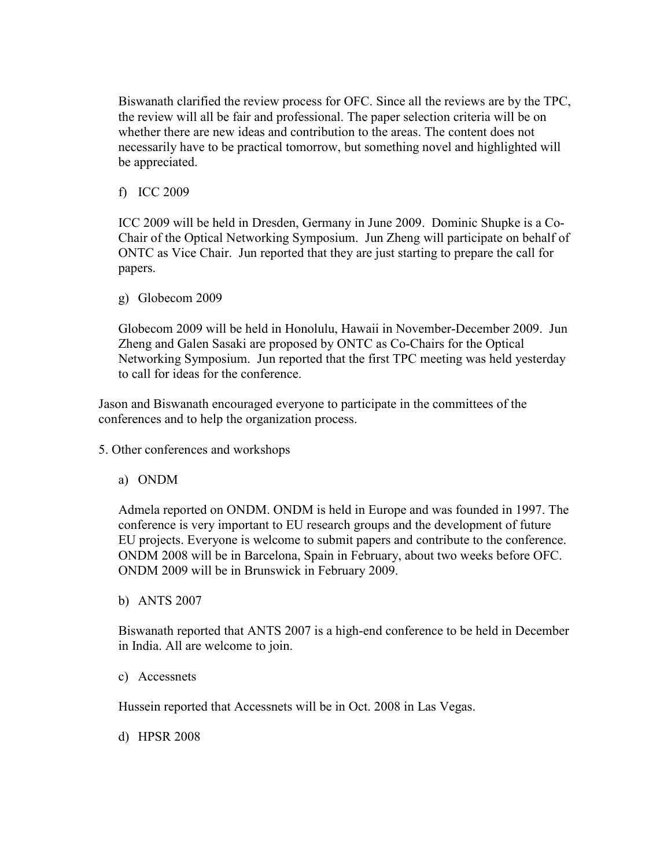Biswanath clarified the review process for OFC. Since all the reviews are by the TPC, the review will all be fair and professional. The paper selection criteria will be on whether there are new ideas and contribution to the areas. The content does not necessarily have to be practical tomorrow, but something novel and highlighted will be appreciated.

f) ICC 2009

ICC 2009 will be held in Dresden, Germany in June 2009. Dominic Shupke is a Co-Chair of the Optical Networking Symposium. Jun Zheng will participate on behalf of ONTC as Vice Chair. Jun reported that they are just starting to prepare the call for papers.

g) Globecom 2009

Globecom 2009 will be held in Honolulu, Hawaii in November-December 2009. Jun Zheng and Galen Sasaki are proposed by ONTC as Co-Chairs for the Optical Networking Symposium. Jun reported that the first TPC meeting was held yesterday to call for ideas for the conference.

Jason and Biswanath encouraged everyone to participate in the committees of the conferences and to help the organization process.

- 5. Other conferences and workshops
	- a) ONDM

Admela reported on ONDM. ONDM is held in Europe and was founded in 1997. The conference is very important to EU research groups and the development of future EU projects. Everyone is welcome to submit papers and contribute to the conference. ONDM 2008 will be in Barcelona, Spain in February, about two weeks before OFC. ONDM 2009 will be in Brunswick in February 2009.

b) ANTS 2007

Biswanath reported that ANTS 2007 is a high-end conference to be held in December in India. All are welcome to join.

c) Accessnets

Hussein reported that Accessnets will be in Oct. 2008 in Las Vegas.

d) HPSR 2008